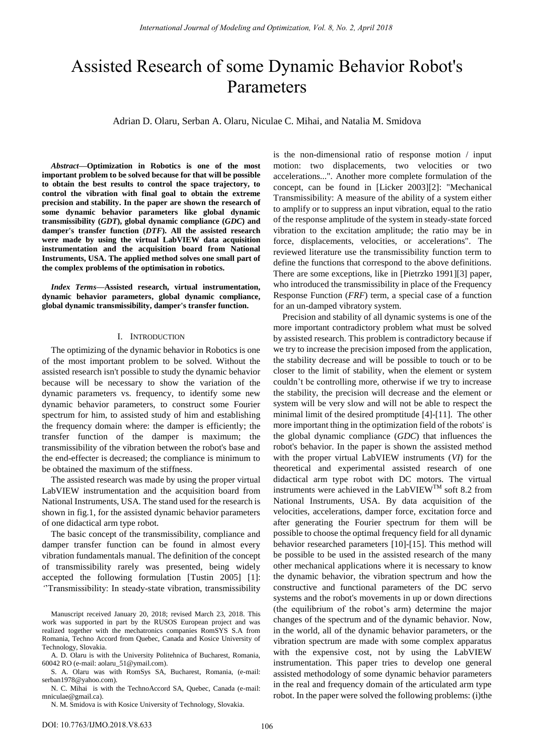# Assisted Research of some Dynamic Behavior Robot's Parameters

Adrian D. Olaru, Serban A. Olaru, Niculae C. Mihai, and Natalia M. Smidova

*Abstract***—Optimization in Robotics is one of the most important problem to be solved because for that will be possible to obtain the best results to control the space trajectory, to control the vibration with final goal to obtain the extreme precision and stability. In the paper are shown the research of some dynamic behavior parameters like global dynamic transmissibility (***GDT***), global dynamic compliance (***GDC***) and damper's transfer function (***DTF***). All the assisted research were made by using the virtual LabVIEW data acquisition instrumentation and the acquisition board from National Instruments, USA. The applied method solves one small part of the complex problems of the optimisation in robotics.** 

*Index Terms***—Assisted research, virtual instrumentation, dynamic behavior parameters, global dynamic compliance, global dynamic transmissibility, damper's transfer function.** 

#### I. INTRODUCTION

The optimizing of the dynamic behavior in Robotics is one of the most important problem to be solved. Without the assisted research isn't possible to study the dynamic behavior because will be necessary to show the variation of the dynamic parameters vs. frequency, to identify some new dynamic behavior parameters, to construct some Fourier spectrum for him, to assisted study of him and establishing the frequency domain where: the damper is efficiently; the transfer function of the damper is maximum; the transmissibility of the vibration between the robot's base and the end-effecter is decreased; the compliance is minimum to be obtained the maximum of the stiffness.

The assisted research was made by using the proper virtual LabVIEW instrumentation and the acquisition board from National Instruments, USA. The stand used for the research is shown in fig.1, for the assisted dynamic behavior parameters of one didactical arm type robot.

The basic concept of the transmissibility, compliance and damper transfer function can be found in almost every vibration fundamentals manual. The definition of the concept of transmissibility rarely was presented, being widely accepted the following formulation [Tustin 2005] [1]: *"*"Transmissibility: In steady-state vibration, transmissibility

Manuscript received January 20, 2018; revised March 23, 2018. This work was supported in part by the RUSOS European project and was realized together with the mechatronics companies RomSYS S.A from Romania, Techno Accord from Quebec, Canada and Kosice University of Technology, Slovakia.

A. D. Olaru is with the University Politehnica of Bucharest, Romania, 60042 RO (e-mail: aolaru\_51@ymail.com).

S. A. Olaru was with RomSys SA, Bucharest, Romania, (e-mail: serban1978@yahoo.com).

N. C. Mihai is with the TechnoAccord SA, Quebec, Canada (e-mail: mniculae@gmail.ca).

N. M. Smidova is with Kosice University of Technology, Slovakia.

is the non-dimensional ratio of response motion / input motion: two displacements, two velocities or two accelerations..."*.* Another more complete formulation of the concept, can be found in [Licker 2003][2]: "Mechanical Transmissibility: A measure of the ability of a system either to amplify or to suppress an input vibration, equal to the ratio of the response amplitude of the system in steady-state forced vibration to the excitation amplitude; the ratio may be in force, displacements, velocities, or accelerations". The reviewed literature use the transmissibility function term to define the functions that correspond to the above definitions. There are some exceptions, like in [Pietrzko 1991][3] paper, who introduced the transmissibility in place of the Frequency Response Function (*FRF*) term, a special case of a function for an un-damped vibratory system.

Precision and stability of all dynamic systems is one of the more important contradictory problem what must be solved by assisted research. This problem is contradictory because if we try to increase the precision imposed from the application, the stability decrease and will be possible to touch or to be closer to the limit of stability, when the element or system couldn"t be controlling more, otherwise if we try to increase the stability, the precision will decrease and the element or system will be very slow and will not be able to respect the minimal limit of the desired promptitude [4]-[11]. The other more important thing in the optimization field of the robots' is the global dynamic compliance (*GDC*) that influences the robot's behavior. In the paper is shown the assisted method with the proper virtual LabVIEW instruments (*VI*) for the theoretical and experimental assisted research of one didactical arm type robot with DC motors. The virtual instruments were achieved in the LabVIEW<sup>TM</sup> soft 8.2 from National Instruments, USA. By data acquisition of the velocities, accelerations, damper force, excitation force and after generating the Fourier spectrum for them will be possible to choose the optimal frequency field for all dynamic behavior researched parameters [10]-[15]. This method will be possible to be used in the assisted research of the many other mechanical applications where it is necessary to know the dynamic behavior, the vibration spectrum and how the constructive and functional parameters of the DC servo systems and the robot's movements in up or down directions (the equilibrium of the robot's arm) determine the major changes of the spectrum and of the dynamic behavior. Now, in the world, all of the dynamic behavior parameters, or the vibration spectrum are made with some complex apparatus with the expensive cost, not by using the LabVIEW instrumentation. This paper tries to develop one general assisted methodology of some dynamic behavior parameters in the real and frequency domain of the articulated arm type robot. In the paper were solved the following problems: (i)the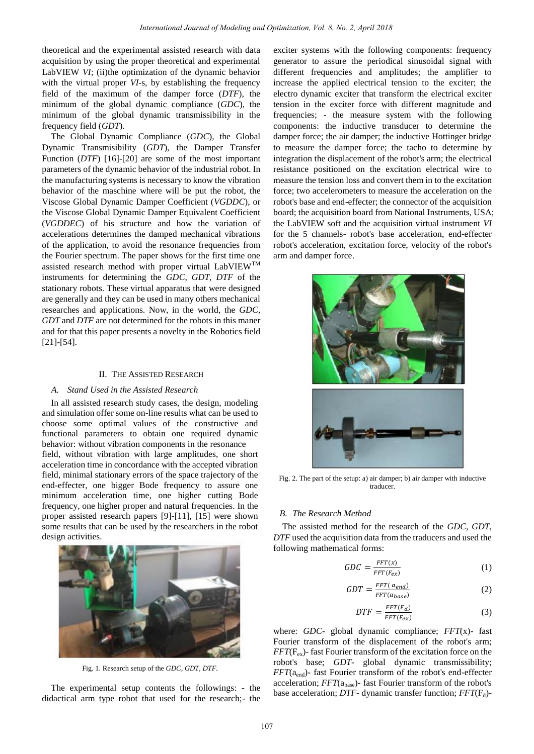theoretical and the experimental assisted research with data acquisition by using the proper theoretical and experimental LabVIEW *VI*; (ii)the optimization of the dynamic behavior with the virtual proper *VI*-s, by establishing the frequency field of the maximum of the damper force (*DTF*), the minimum of the global dynamic compliance (*GDC*), the minimum of the global dynamic transmissibility in the frequency field (*GDT*).

The Global Dynamic Compliance (*GDC*), the Global Dynamic Transmisibility (*GDT*), the Damper Transfer Function (*DTF*) [16]-[20] are some of the most important parameters of the dynamic behavior of the industrial robot. In the manufacturing systems is necessary to know the vibration behavior of the maschine where will be put the robot, the Viscose Global Dynamic Damper Coefficient (*VGDDC*), or the Viscose Global Dynamic Damper Equivalent Coefficient (*VGDDEC*) of his structure and how the variation of accelerations determines the damped mechanical vibrations of the application, to avoid the resonance frequencies from the Fourier spectrum. The paper shows for the first time one assisted research method with proper virtual LabVIEWTM instruments for determining the *GDC*, *GDT*, *DTF* of the stationary robots. These virtual apparatus that were designed are generally and they can be used in many others mechanical researches and applications. Now, in the world, the *GDC, GDT* and *DTF* are not determined for the robots in this maner and for that this paper presents a novelty in the Robotics field [21]-[54].

#### II. THE ASSISTED RESEARCH

### *A. Stand Used in the Assisted Research*

 In all assisted research study cases, the design, modeling and simulation offer some on-line results what can be used to choose some optimal values of the constructive and functional parameters to obtain one required dynamic behavior: without vibration components in the resonance field, without vibration with large amplitudes, one short acceleration time in concordance with the accepted vibration field, minimal stationary errors of the space trajectory of the end-effecter, one bigger Bode frequency to assure one minimum acceleration time, one higher cutting Bode frequency, one higher proper and natural frequencies. In the proper assisted research papers [9]-[11], [15] were shown some results that can be used by the researchers in the robot design activities.



Fig. 1. Research setup of the *GDC*, *GDT*, *DTF.* 

The experimental setup contents the followings: - the didactical arm type robot that used for the research;- the exciter systems with the following components: frequency generator to assure the periodical sinusoidal signal with different frequencies and amplitudes; the amplifier to increase the applied electrical tension to the exciter; the electro dynamic exciter that transform the electrical exciter tension in the exciter force with different magnitude and frequencies; - the measure system with the following components: the inductive transducer to determine the damper force; the air damper; the inductive Hottinger bridge to measure the damper force; the tacho to determine by integration the displacement of the robot's arm; the electrical resistance positioned on the excitation electrical wire to measure the tension loss and convert them in to the excitation force; two accelerometers to measure the acceleration on the robot's base and end-effecter; the connector of the acquisition board; the acquisition board from National Instruments, USA; the LabVIEW soft and the acquisition virtual instrument *VI* for the 5 channels- robot's base acceleration, end-effecter robot's acceleration, excitation force, velocity of the robot's arm and damper force.



Fig. 2. The part of the setup: a) air damper; b) air damper with inductive traducer.

## *B. The Research Method*

The assisted method for the research of the *GDC*, *GDT*, *DTF* used the acquisition data from the traducers and used the following mathematical forms:

$$
GDC = \frac{FFT(x)}{FFT(F_{ex})}
$$
 (1)

$$
GDT = \frac{FFT(a_{end})}{FFT(a_{base})}
$$
 (2)

$$
DTF = \frac{FFT(F_d)}{FFT(F_{ex})}
$$
 (3)

where: *GDC*- global dynamic compliance; *FFT*(x)- fast Fourier transform of the displacement of the robot's arm;  $FFT(F_{ex})$ - fast Fourier transform of the excitation force on the robot's base; *GDT*- global dynamic transmissibility; *FFT*(a<sub>end</sub>)- fast Fourier transform of the robot's end-effecter acceleration;  $FFT(a_{base})$ - fast Fourier transform of the robot's base acceleration; *DTF*- dynamic transfer function; *FFT*(F<sub>d</sub>)-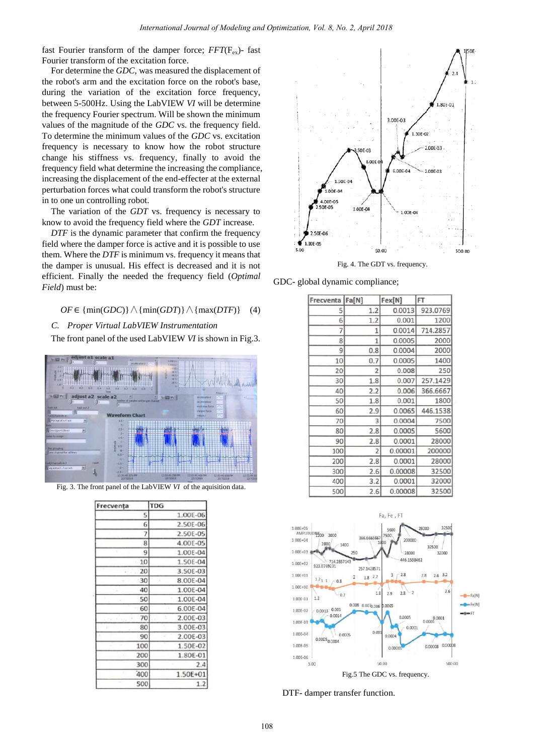fast Fourier transform of the damper force;  $FFT(F_{\alpha}^{\dagger})$ - fast Fourier transform of the excitation force.

For determine the *GDC*, was measured the displacement of the robot's arm and the excitation force on the robot's base, during the variation of the excitation force frequency, between 5-500Hz. Using the LabVIEW *VI* will be determine the frequency Fourier spectrum. Will be shown the minimum values of the magnitude of the *GDC* vs. the frequency field. To determine the minimum values of the *GDC* vs. excitation frequency is necessary to know how the robot structure change his stiffness vs. frequency, finally to avoid the frequency field what determine the increasing the compliance, increasing the displacement of the end-effecter at the external perturbation forces what could transform the robot's structure in to one un controlling robot.

The variation of the *GDT* vs. frequency is necessary to know to avoid the frequency field where the *GDT* increase.

*DTF* is the dynamic parameter that confirm the frequency field where the damper force is active and it is possible to use them. Where the *DTF* is minimum vs. frequency it means that the damper is unusual. His effect is decreased and it is not efficient. Finally the needed the frequency field (*Optimal Field*) must be:

## $OF \in \{\min(GDC)\}\wedge \{\min(GDT)\}\wedge \{\max(DTF)\}\$  (4)

#### *C. Proper Virtual LabVIEW Instrumentation*

The front panel of the used LabVIEW *VI* is shown in Fig.3.



Fig. 3. The front panel of the LabVIEW *VI* of the aquisition data.

| Frecventa  |    | TDG             |
|------------|----|-----------------|
|            | 5  | 1.00E-06        |
|            | 6  | 2.50E-06        |
|            | 7  | 2.50E-05        |
|            | 8  | 4.00E-05        |
|            | 9  | 1.00E-04        |
|            | 10 | 1.50E-04        |
| . .        | 20 | 3.50E-03        |
|            | 30 | 8.00E-04        |
|            | 40 | 1.00E-04        |
|            | 50 | 1.00E-04        |
|            | 60 | 6.00E-04        |
| START FORM | 70 | 2.00E-03<br>r i |
| x.         | 80 | 3.00E-03        |
|            | 90 | 2.00E-03        |
| 100        |    | 1.50E-02        |
| 200        |    | 1.80E-01        |
| 300        |    | 2.4             |
| 400        |    | 1.50E+01        |
| 500        |    | 1.2             |



Fig. 4. The GDT vs. frequency.

GDC- global dynamic compliance;

| Frecventa Fa[N] |                | Fex[N]  | FT       |
|-----------------|----------------|---------|----------|
| 5               | 1.2            | 0.0013  | 923.0769 |
| 6               | 1.2            | 0.001   | 1200     |
| 7               | $\mathbf{1}$   | 0.0014  | 714.2857 |
| 8               | $\mathbf{1}$   | 0.0005  | 2000     |
| 9               | 0.8            | 0.0004  | 2000     |
| 10              | 0.7            | 0.0005  | 1400     |
| 20              | 2              | 0.008   | 250      |
| 30              | 1.8            | 0.007   | 257.1429 |
| 40              | 2.2            | 0.006   | 366.6667 |
| 50              | 1.8            | 0.001   | 1800     |
| 60              | 2.9            | 0.0065  | 446.1538 |
| 70              | 3              | 0.0004  | 7500     |
| 80              | 2.8            | 0.0005  | 5600     |
| 90              | 2.8            | 0.0001  | 28000    |
| 100             | $\overline{2}$ | 0.00001 | 200000   |
| 200             | 2.8            | 0.0001  | 28000    |
| 300             | 2.6            | 0.00008 | 32500    |
| 400             | 3.2            | 0.0001  | 32000    |
| 500             | 2.6            | 0.00008 | 32500    |



DTF- damper transfer function.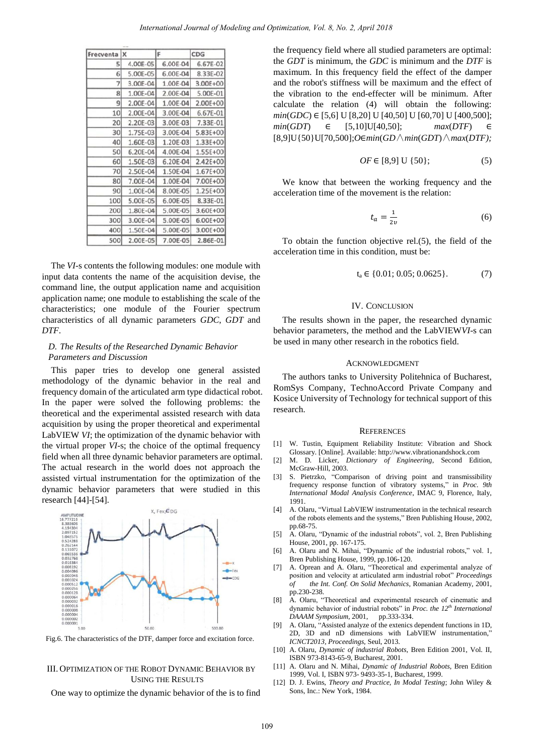| Frecventa | x        | F        | CDG          |
|-----------|----------|----------|--------------|
| 5         | 4.00E-05 | 6.00E-04 | 6.67E-02     |
| 6         | 5.00E-05 | 6.00E-04 | 8.33E-02     |
| 7         | 3.00E-04 | 1.00E-04 | 3.00E+00     |
| 8         | 1.00E-04 | 2.00E-04 | 5.00E-01     |
| 9         | 2.00E-04 | 1.00E-04 | 2.00E+00     |
| 10        | 2.00E-04 | 3.00E-04 | 6.67E-01     |
| 20        | 2.20E-03 | 3.00E-03 | 7.33E-01     |
| 30        | 1.75E-03 | 3.00E-04 | 5.83E+00     |
| 40        | 1.60E-03 | 1.20E-03 | $1.33E + 00$ |
| 50        | 6.20E-04 | 4.00E-04 | 1.55E+00     |
| 60        | 1.50E-03 | 6.20E-04 | $2.42E + 00$ |
| 70        | 2.50E-04 | 1.50E-04 | $1.67E + 00$ |
| 80        | 7.00E-04 | 1.00E-04 | 7.00E+00     |
| 90        | 1.00E-04 | 8.00E-05 | 1.25E+00     |
| 100       | 5.00E-05 | 6.00E-05 | 8.33E-01     |
| 200       | 1.80E-04 | 5.00E-05 | 3.60E+00     |
| 300       | 3.00E-04 | 5.00E-05 | 6.00E+00     |
| 400       | 1.50E-04 | 5.00E-05 | 3.00E+00     |
| 500       | 2.00E-05 | 7.00E-05 | 2.86E-01     |
|           |          |          |              |

The *VI-*s contents the following modules: one module with input data contents the name of the acquisition devise, the command line, the output application name and acquisition application name; one module to establishing the scale of the characteristics; one module of the Fourier spectrum characteristics of all dynamic parameters *GDC*, *GDT* and *DTF*.

## *D. The Results of the Researched Dynamic Behavior Parameters and Discussion*

This paper tries to develop one general assisted methodology of the dynamic behavior in the real and frequency domain of the articulated arm type didactical robot. In the paper were solved the following problems: the theoretical and the experimental assisted research with data acquisition by using the proper theoretical and experimental LabVIEW *VI*; the optimization of the dynamic behavior with the virtual proper *VI*-s; the choice of the optimal frequency field when all three dynamic behavior parameters are optimal. The actual research in the world does not approach the assisted virtual instrumentation for the optimization of the dynamic behavior parameters that were studied in this research [44]-[54].



Fig.6. The characteristics of the DTF, damper force and excitation force.

## III. OPTIMIZATION OF THE ROBOT DYNAMIC BEHAVIOR BY USING THE RESULTS

One way to optimize the dynamic behavior of the is to find

the frequency field where all studied parameters are optimal: the *GDT* is minimum, the *GDC* is minimum and the *DTF* is maximum. In this frequency field the effect of the damper and the robot's stiffness will be maximum and the effect of the vibration to the end-effecter will be minimum. After calculate the relation (4) will obtain the following:  $min(GDC) \in [5,6]$  U  $[8,20]$  U  $[40,50]$  U  $[60,70]$  U  $[400,500]$ ;  $min(GDT) \in [5,10] \cup [40,50]; \qquad max(DTF) \in$ [8,9]U{50}U[70,500];*O min*(*GD*∧*min*(*GDT*)∧*max*(*DTF);* 

$$
OF \in [8,9] \cup \{50\};\tag{5}
$$

We know that between the working frequency and the acceleration time of the movement is the relation:

$$
t_a = \frac{1}{2v} \tag{6}
$$

To obtain the function objective rel.(5), the field of the acceleration time in this condition, must be:

$$
t_a \in \{0.01; 0.05; 0.0625\}.
$$
 (7)

#### IV. CONCLUSION

The results shown in the paper, the researched dynamic behavior parameters, the method and the LabVIEW*VI*-s can be used in many other research in the robotics field.

#### ACKNOWLEDGMENT

The authors tanks to University Politehnica of Bucharest, RomSys Company, TechnoAccord Private Company and Kosice University of Technology for technical support of this research.

#### **REFERENCES**

- [1] W. Tustin, Equipment Reliability Institute: Vibration and Shock Glossary. [Online]. Available: http://www.vibrationandshock.com
- [2] M. D. Licker, *Dictionary of Engineering*, Second Edition, McGraw-Hill, 2003.
- [3] S. Pietrzko, "Comparison of driving point and transmissibility frequency response function of vibratory systems," in *Proc. 9th International Modal Analysis Conference*, IMAC 9, Florence, Italy, 1991.
- [4] A. Olaru, "Virtual LabVIEW instrumentation in the technical research of the robots elements and the systems," Bren Publishing House, 2002, pp.68-75.
- [5] A. Olaru, "Dynamic of the industrial robots", vol. 2, Bren Publishing House, 2001, pp. 167-175.
- [6] A. Olaru and N. Mihai, "Dynamic of the industrial robots," vol. 1, Bren Publishing House, 1999, pp.106-120.
- [7] A. Oprean and A. Olaru, "Theoretical and experimental analyze of position and velocity at articulated arm industrial robot" *Proceedings of the Int. Conf. On Solid Mechanics,* Romanian Academy, 2001, pp.230-238.
- [8] A. Olaru, "Theoretical and experimental research of cinematic and dynamic behavior of industrial robots" in *Proc. the 12<sup>th</sup> International DAAAM Symposium*, 2001, pp.333-334. *DAAAM Symposium, 2001.*
- [9] A. Olaru, "Assisted analyze of the extenics dependent functions in 1D, 2D, 3D and nD dimensions with LabVIEW instrumentation," *ICNCT2013, Proceedings,* Seul, 2013.
- [10] A. Olaru, *Dynamic of industrial Robots*, Bren Edition 2001, Vol. II, ISBN 973-8143-65-9, Bucharest, 2001.
- [11] A. Olaru and N. Mihai, *Dynamic of Industrial Robots*, Bren Edition 1999, Vol. I, ISBN 973- 9493-35-1, Bucharest, 1999.
- [12] D. J. Ewins, *Theory and Practice, In Modal Testing*; John Wiley & Sons, Inc.: New York, 1984.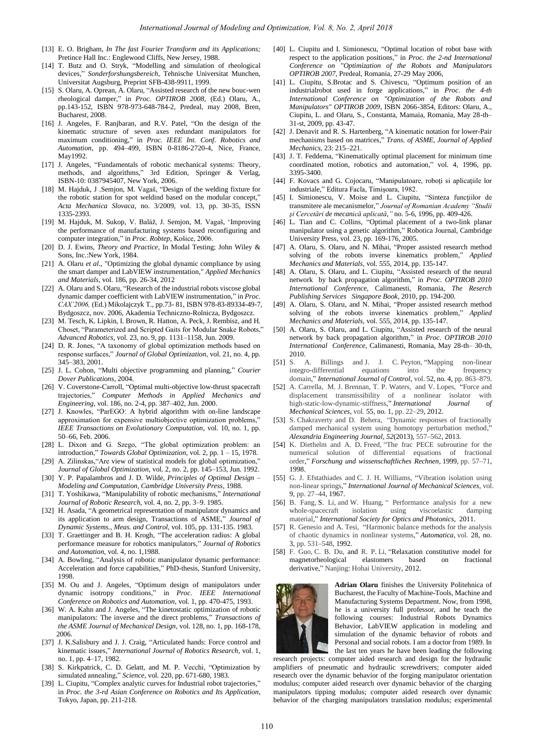- [13] E. O. Brigham, *In The fast Fourier Transform and its Applications;* Pretince Hall Inc.: Englewood Cliffs, New Jersey, 1988.
- [14] T. Butz and O. Stryk, "Modelling and simulation of rheological devices," *Sonderforshungsbereich,* Tehnische Universitat Munchen, Universitat Augsburg, Preprint SFB-438-9911, 1999.
- [15] S. Olaru, A. Oprean, A. Olaru, "Assisted research of the new bouc-wen rheological damper," in *Proc. OPTIROB 2008*, (Ed.) Olaru, A., pp.143-152, ISBN 978-973-648-784-2, Predeal, may 2008, Bren, Bucharest, 2008.
- [16] J. Angeles, F. Ranjbaran, and R.V. Patel, "On the design of the kinematic structure of seven axes redundant manipulators for maximum conditioning," in *Proc. IEEE Int. Conf. Robotics and Automation,* pp. 494–499, ISBN 0-8186-2720-4, Nice, France, May1992.
- [17] J. Angeles, "Fundamentals of robotic mechanical systems: Theory, methods, and algorithms," 3rd Edition, Springer & Verlag, ISBN-10: 0387945407, New York, 2006.
- [18] M. Hajduk, J .Semjon, M. Vagaš, "Design of the welding fixture for the robotic station for spot weldind based on the modular concept,' *Acta Mechanica Slovaca*, no. 3/2009, vol. 13, pp. 30-35, ISSN 1335-2393.
- [19] M. Hajduk, M. Sukop, V. Baláž, J. Semjon, M. Vagaš, "Improving the performance of manufacturing systems based reconfiguring and computer integration," in *Proc. Robtep*, Košice, 2006.
- [20] D. J. Ewins, *Theory and Practice*, In Modal Testing; John Wiley & Sons, Inc.:New York, 1984.
- [21] A. Olaru *et al*., "Optimizing the global dynamic compliance by using the smart damper and LabVIEW instrumentation," *Applied Mechanics and Materials*, vol. 186, pp. 26-34, 2012
- [22] A. Olaru and S. Olaru, "Research of the industrial robots viscose global dynamic damper coefficient with LabVIEW instrumentation," in *Proc. CAX"2006,* (Ed.) Mikolajczyk T., pp.73- 81, ISBN 978-83-89334-49-7, Bydgoszcz, nov. 2006, Akademia Techniczno-Rolnicza, Bydgoszcz.
- [23] M. Tesch, K. Lipkin, I. Brown, R. Hatton, A. Peck, J. Rembisz, and H. Choset, "Parameterized and Scripted Gaits for Modular Snake Robots," *Advanced Robotics*, vol. 23, no. 9, pp. 1131–1158, Jun. 2009.
- [24] D. R. Jones, "A taxonomy of global optimization methods based on response surfaces," *Journal of Global Optimization*, vol. 21, no. 4, pp. 345–383, 2001.
- [25] J. L. Cohon, "Multi objective programming and planning," *Courier Dover Publications,* 2004.
- [26] V. Coverstone-Carroll, "Optimal multi-objective low-thrust spacecraft trajectories," *Computer Methods in Applied Mechanics and Engineering*, vol. 186, no. 2-4, pp. 387–402, Jun. 2000.
- [27] J. Knowles, "ParEGO: A hybrid algorithm with on-line landscape approximation for expensive multiobjective optimization problems," *IEEE Transactions on Evolutionary Computation*, vol. 10, no. 1, pp. 50–66, Feb. 2006.
- [28] L. Dixon and G. Szego, "The global optimization problem: an introduction," *Towards Global Optimization*, vol. 2, pp. 1 – 15, 1978.
- [29] A. Zilinskas, "Are view of statistical models for global optimization," *Journal of Global Optimization*, vol. 2, no. 2, pp. 145–153, Jun. 1992.
- [30] Y. P. Papalambros and J. D. Wilde, *Principles of Optimal Design Modeling and Computation, Cambridge University Press*, 1988.
- [31] T. Yoshikawa, "Manipulability of robotic mechanisms," *International Journal of Robotic Research,* vol. 4, no. 2, pp. 3–9. 1985.
- [32] H. Asada, "A geometrical representation of manipulator dynamics and its application to arm design, Transactions of ASME," *Journal of Dynamic Systems., Meas. and Control,* vol. 105, pp. 131-135. 1983.
- [33] T. Graettinger and B. H. Krogh, "The acceleration radius: A global performance measure for robotics manipulators," *Journal of Robotics and Automation,* vol. 4, no. 1,1988.
- [34] A. Bowling, "Analysis of robotic manipulator dynamic performance: Acceleration and force capabilities," PhD-thesis, Stanford University, 1998.
- [35] M. Ou and J. Angeles, "Optimum design of manipulators under dynamic isotropy conditions," in *Proc. IEEE International Conference on Robotics and Automation*, vol. 1, pp. 470-475, 1993.
- [36] W. A. Kahn and J. Angeles, "The kinetostatic optimization of robotic manipulators: The inverse and the direct problems," *Transactions of the ASME Journal of Mechanical Design,* vol. 128, no. 1, pp. 168-178, 2006.
- [37] J. K.Salisbury and J. J. Craig, "Articulated hands: Force control and kinematic issues," *International Journal of Robotics Research*, vol. 1, no. 1, pp. 4–17, 1982.
- [38] S. Kirkpatrick, C. D. Gelatt, and M. P. Vecchi, "Optimization by simulated annealing," *Science*, vol. 220, pp. 671-680, 1983.
- [39] L. Ciupitu, "Complex analytic curves for Industrial robot trajectories," in *Proc. the 3-rd Asian Conference on Robotics and Its Application*, Tokyo, Japan, pp. 211-218.
- [40] L. Ciupitu and I. Simionescu, "Optimal location of robot base with respect to the application positions," in *Proc. the 2-nd International Conference on "Optimization of the Robots and Manipulators OPTIROB 2007*, Predeal, Romania, 27-29 May 2006,
- [41] L. Ciupitu, S.Brotac and S. Chivescu, "Optimum position of an industrialrobot used in forge applications," in *Proc. the 4-th International Conference on "Optimization of the Robots and Manipulators" OPTIROB 2009*, ISBN 2066-3854, Editors: Olaru, A., Ciupitu, L. and Olaru, S., Constanta, Mamaia, Romania, May 28-th– 31-st, 2009, pp. 43-47.
- [42] J. Denavit and R. S. Hartenberg, "A kinematic notation for lower-Pair mechanisms based on matrices," *Trans. of ASME, Journal of Applied Mechanics,* 23: 215–221.
- [43] J. T. Feddema, "Kinematically optimal placement for minimum time coordinated motion, robotics and automation," vol. 4, 1996, pp. 3395-3400.
- [44] F. Kovacs and G. Cojocaru, "Manipulatoare, roboți si aplicațiile lor industriale," Editura Facla, Timişoara, 1982.
- [45] I. Simionescu, V. Moise and L. Ciupitu, "Sinteza funcţiilor de transmitere ale mecanismelor," *Journal of Romanian Academy "Studii şi Cercetări de mecanică aplicată*,*"* no. 5-6, 1996, pp. 409-426.
- [46] L. Tian and C. Collins, "Optimal placement of a two-link planar manipulator using a genetic algorithm," Robotica Journal, Cambridge University Press*,* vol. 23, pp. 169-176, 2005.
- [47] A. Olaru, S. Olaru, and N. Mihai, "Proper assisted research method solving of the robots inverse kinematics problem," *Applied Mechanics and Materials,* vol. 555, 2014, pp. 135-147.
- [48] A. Olaru, S. Olaru, and L. Ciupitu, "Assisted research of the neural network by back propagation algorithm," in *Proc. OPTIROB 2010 International Conference*, Calimanesti, Romania, *The Reserch Publishing Services Singapore Book,* 2010, pp. 194-200.
- [49] A. Olaru, S. Olaru, and N. Mihai, "Proper assisted research method solving of the robots inverse kinematics problem," *Applied Mechanics and Materials,* vol. 555, 2014, pp. 135-147.
- [50] A. Olaru, S. Olaru, and L. Ciupitu, "Assisted research of the neural network by back propagation algorithm," in *Proc. OPTIROB 2010 International Conference*, Calimanesti, Romania, May 28-th– 30-th,  $2010.$ <br>[51] S. A.
- Billings and J. J. C. Peyton, "Mapping non-linear integro-differential equations into the frequency domain," *International Journal of Control*, vol. 52, no. 4, pp. 863–879.
- [52] A. Carrella, M. J. Brennan, T. P. Waters, and V. Lopes, "Force and displacement transmissibility of a nonlinear isolator with high-static-low-dynamic-stiffness," *International Journal of Mechanical Sciences*, vol. 55, no. 1, pp. 22–29, 2012.
- [53] S. Chakraverty and D. Behera, "Dynamic responses of fractionally damped mechanical system using homotopy perturbation method," *Alexandria Engineering Journal*, *52*(2013), 557–562, 2013.
- [54] K. Diethelm and A. D. Freed, "The frac PECE subroutine for the numerical solution of differential equations of fractional order," *Forschung und wissenschaftliches Rechnen*, 1999, pp. 57–71, 1998.
- [55] G. J. Efstathiades and C. J. H. Williams, "Vibration isolation using non-linear springs," *International Journal of Mechanical Sciences*, vol. 9, pp. 27–44, 1967.
- [56] B. Fang, S. Li, and W. Huang, " Performance analysis for a new whole-spacecraft isolation using viscoelastic damping material," *International Society for Optics and Photonics*, 2011.
- [57] R. Genesio and A. Tesi, "Harmonic balance methods for the analysis of chaotic dynamics in nonlinear systems," *Automatica*, vol. 28, no. 3, pp. 531–548, 1992.
- [58] F. Guo, C. B. Du, and R. P. Li, "Relaxation constitutive model for magnetorheological elastomers based on fractional derivative," Nanjing: Hohai University, 2012.



**Adrian Olaru** finishes the University Politehnica of Bucharest, the Faculty of Machine-Tools, Machine and Manufacturing Systems Department. Now, from 1998, he is a university full professor, and he teach the following courses: Industrial Robots Dynamics Behavior, LabVIEW application in modeling and simulation of the dynamic behavior of robots and Personal and social robots. I am a doctor from 1989. In the last ten years he have been leading the following

research projects: computer aided research and design for the hydraulic amplifiers of pneumatic and hydraulic screwdrivers; computer aided research over the dynamic behavior of the forging manipulator orientation modulus; computer aided research over dynamic behavior of the charging manipulators tipping modulus; computer aided research over dynamic behavior of the charging manipulators translation modulus; experimental